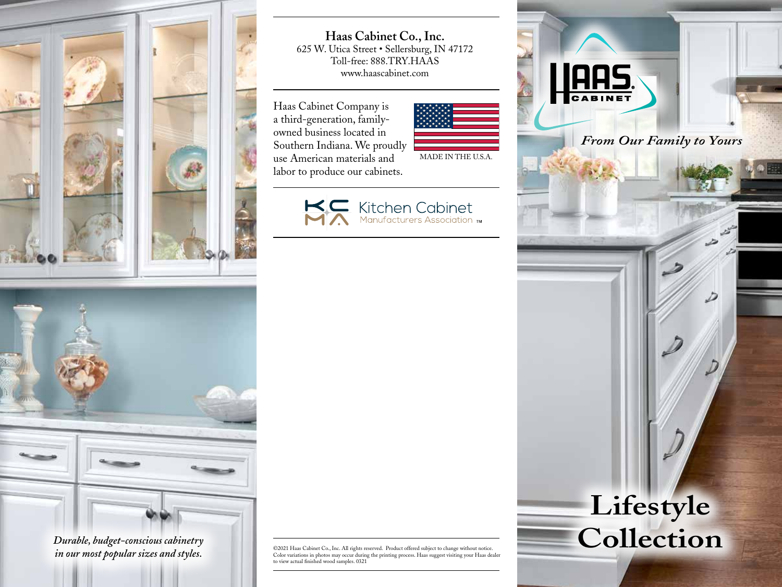

*Durable, budget-conscious cabinetry in our most popular sizes and styles.*

**Haas Cabinet Co., Inc.** 625 W. Utica Street • Sellersburg, IN 47172 Toll-free: 888.TRY.HAAS www.haascabinet.com

Haas Cabinet Company is a third-generation, familyowned business located in Southern Indiana. We proudly use American materials and labor to produce our cabinets.

MADE IN THE U.S.A.





©2021 Haas Cabinet Co., Inc. All rights reserved. Product offered subject to change without notice. Color variations in photos may occur during the printing process. Haas suggest visiting your Haas dealer to view actual finished wood samples. 0321